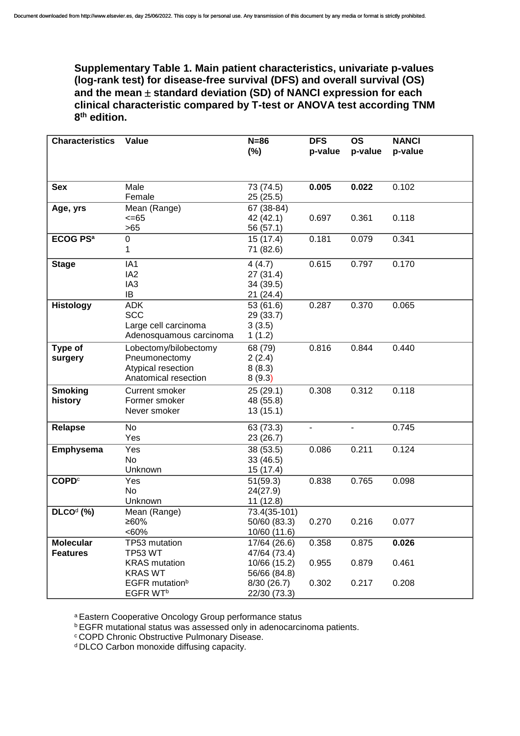**Supplementary Table 1. Main patient characteristics, univariate p-values (log-rank test) for disease-free survival (DFS) and overall survival (OS)**  and the mean  $\pm$  standard deviation (SD) of NANCI expression for each **clinical characteristic compared by T-test or ANOVA test according TNM 8 th edition.** 

| <b>Characteristics</b>     | Value                      | $N=86$                | <b>DFS</b>     | <b>OS</b>      | <b>NANCI</b> |
|----------------------------|----------------------------|-----------------------|----------------|----------------|--------------|
|                            |                            | $(\%)$                | p-value        | p-value        | p-value      |
|                            |                            |                       |                |                |              |
|                            |                            |                       |                |                |              |
| <b>Sex</b>                 | Male<br>Female             | 73 (74.5)             | 0.005          | 0.022          | 0.102        |
|                            |                            | 25(25.5)              |                |                |              |
| Age, yrs                   | Mean (Range)<br>$<=65$     | 67 (38-84)            | 0.697          | 0.361          | 0.118        |
|                            | $>65$                      | 42 (42.1)             |                |                |              |
| <b>ECOG PS<sup>a</sup></b> | $\mathsf 0$                | 56 (57.1)<br>15(17.4) | 0.181          |                |              |
|                            | 1                          | 71 (82.6)             |                | 0.079          | 0.341        |
|                            |                            |                       |                |                |              |
| <b>Stage</b>               | IA1                        | 4(4.7)                | 0.615          | 0.797          | 0.170        |
|                            | IA <sub>2</sub>            | 27(31.4)              |                |                |              |
|                            | IA <sub>3</sub>            | 34 (39.5)             |                |                |              |
|                            | IB                         | 21 (24.4)             |                |                |              |
| <b>Histology</b>           | <b>ADK</b>                 | 53 (61.6)             | 0.287          | 0.370          | 0.065        |
|                            | <b>SCC</b>                 | 29 (33.7)             |                |                |              |
|                            | Large cell carcinoma       | 3(3.5)                |                |                |              |
|                            | Adenosquamous carcinoma    | 1(1.2)                |                |                |              |
| Type of                    | Lobectomy/bilobectomy      | 68 (79)               | 0.816          | 0.844          | 0.440        |
| surgery                    | Pneumonectomy              | 2(2.4)                |                |                |              |
|                            | Atypical resection         | 8(8.3)                |                |                |              |
|                            | Anatomical resection       | 8(9.3)                |                |                |              |
| <b>Smoking</b>             | <b>Current smoker</b>      | 25 (29.1)             | 0.308          | 0.312          | 0.118        |
| history                    | Former smoker              | 48 (55.8)             |                |                |              |
|                            | Never smoker               | 13(15.1)              |                |                |              |
| <b>Relapse</b>             | No                         | 63 (73.3)             | $\blacksquare$ | $\blacksquare$ | 0.745        |
|                            | Yes                        | 23 (26.7)             |                |                |              |
| Emphysema                  | Yes                        | 38 (53.5)             | 0.086          | 0.211          | 0.124        |
|                            | <b>No</b>                  | 33 (46.5)             |                |                |              |
|                            | Unknown                    | 15 (17.4)             |                |                |              |
| <b>COPD</b> <sup>c</sup>   | Yes                        | 51(59.3)              | 0.838          | 0.765          | 0.098        |
|                            | <b>No</b>                  | 24(27.9)              |                |                |              |
|                            | Unknown                    | 11(12.8)              |                |                |              |
| $DLCOd$ (%)                | Mean (Range)               | 73.4(35-101)          |                |                |              |
|                            | ≥60%                       | 50/60 (83.3)          | 0.270          | 0.216          | 0.077        |
|                            | <60%                       | 10/60 (11.6)          |                |                |              |
| <b>Molecular</b>           | TP53 mutation              | 17/64 (26.6)          | 0.358          | 0.875          | 0.026        |
| <b>Features</b>            | TP53 WT                    | 47/64 (73.4)          |                |                |              |
|                            | <b>KRAS</b> mutation       | 10/66 (15.2)          | 0.955          | 0.879          | 0.461        |
|                            | <b>KRAS WT</b>             | 56/66 (84.8)          |                |                |              |
|                            | EGFR mutation <sup>b</sup> | 8/30(26.7)            | 0.302          | 0.217          | 0.208        |
|                            | EGFR WT <sup>b</sup>       | 22/30 (73.3)          |                |                |              |

a Eastern Cooperative Oncology Group performance status

**b EGFR mutational status was assessed only in adenocarcinoma patients.** 

**cCOPD Chronic Obstructive Pulmonary Disease.** 

d DLCO Carbon monoxide diffusing capacity.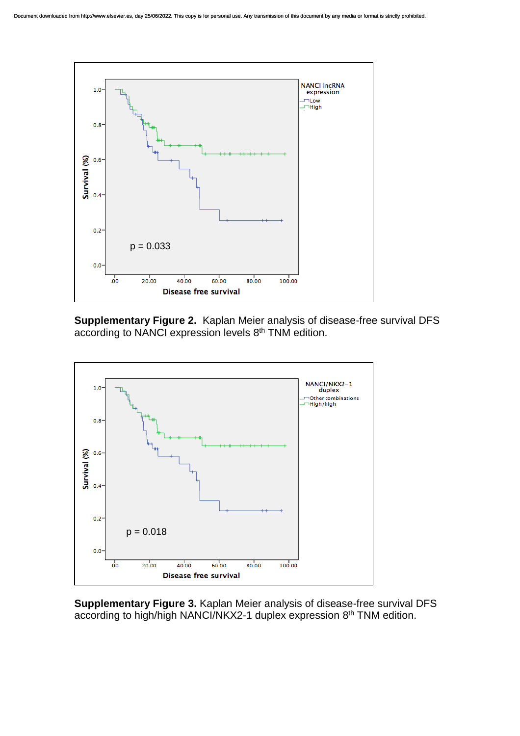

**Supplementary Figure 2.** Kaplan Meier analysis of disease-free survival DFS according to NANCI expression levels 8<sup>th</sup> TNM edition.



**Supplementary Figure 3.** Kaplan Meier analysis of disease-free survival DFS according to high/high NANCI/NKX2-1 duplex expression 8<sup>th</sup> TNM edition.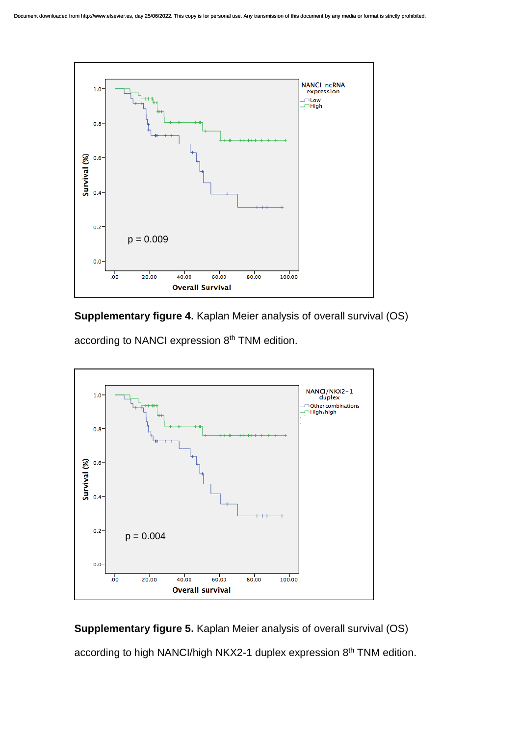

**Supplementary figure 4.** Kaplan Meier analysis of overall survival (OS)

according to NANCI expression 8<sup>th</sup> TNM edition.



**Supplementary figure 5.** Kaplan Meier analysis of overall survival (OS)

according to high NANCI/high NKX2-1 duplex expression 8<sup>th</sup> TNM edition.